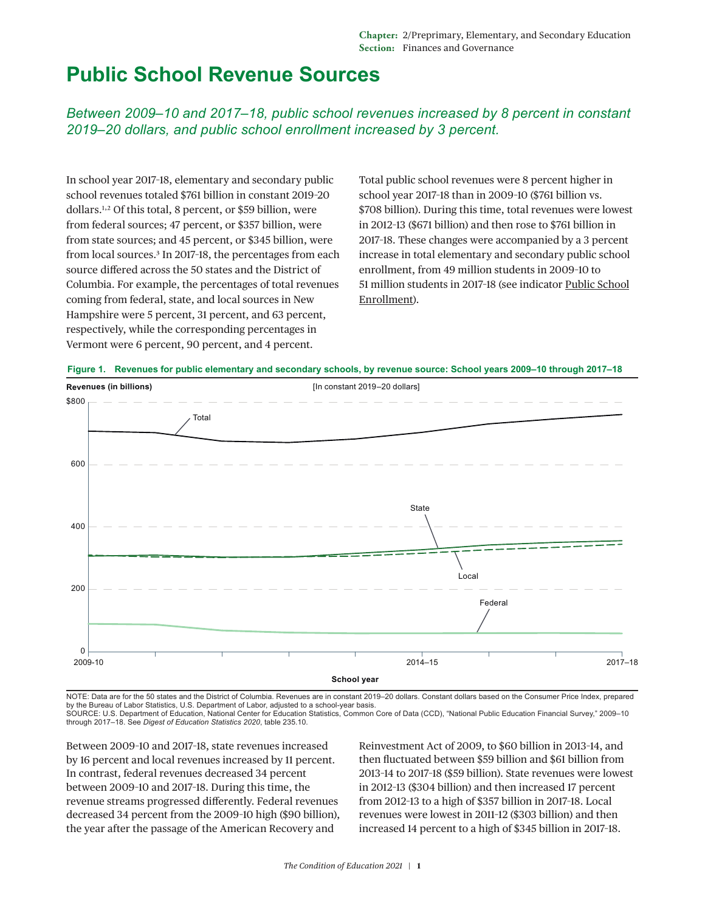## **Public School Revenue Sources**

*Between 2009–10 and 2017–18, public school revenues increased by 8 percent in constant 2019–20 dollars, and public school enrollment increased by 3 percent.*

In school year 2017–18, elementary and secondary public school revenues totaled \$761 billion in constant 2019–20 dollars.[1](#page-2-0),[2](#page-2-1) Of this total, 8 percent, or \$59 billion, were from federal sources; 47 percent, or \$357 billion, were from state sources; and 45 percent, or \$345 billion, were from local sources.[3](#page-2-2) In 2017–18, the percentages from each source differed across the 50 states and the District of Columbia. For example, the percentages of total revenues coming from federal, state, and local sources in New Hampshire were 5 percent, 31 percent, and 63 percent, respectively, while the corresponding percentages in Vermont were 6 percent, 90 percent, and 4 percent.

Total public school revenues were 8 percent higher in school year 2017–18 than in 2009–10 (\$761 billion vs. \$708 billion). During this time, total revenues were lowest in 2012–13 (\$671 billion) and then rose to \$761 billion in 2017–18. These changes were accompanied by a 3 percent increase in total elementary and secondary public school enrollment, from 49 million students in 2009–10 to 51 million students in 2017–18 (see indicator [Public School](https://nces.ed.gov/programs/coe/indicator/cga) [Enrollment\)](https://nces.ed.gov/programs/coe/indicator/cga).





NOTE: Data are for the 50 states and the District of Columbia. Revenues are in constant 2019–20 dollars. Constant dollars based on the Consumer Price Index, prepared by the Bureau of Labor Statistics, U.S. Department of Labor, adjusted to a school-year basis.

SOURCE: U.S. Department of Education, National Center for Education Statistics, Common Core of Data (CCD), "National Public Education Financial Survey," 2009–10 through 2017–18. See *Digest of Education Statistics 2020*, table 235.10.

Between 2009–10 and 2017–18, state revenues increased by 16 percent and local revenues increased by 11 percent. In contrast, federal revenues decreased 34 percent between 2009–10 and 2017–18. During this time, the revenue streams progressed differently. Federal revenues decreased 34 percent from the 2009–10 high (\$90 billion), the year after the passage of the American Recovery and

Reinvestment Act of 2009, to \$60 billion in 2013–14, and then fluctuated between \$59 billion and \$61 billion from 2013–14 to 2017–18 (\$59 billion). State revenues were lowest in 2012–13 (\$304 billion) and then increased 17 percent from 2012–13 to a high of \$357 billion in 2017–18. Local revenues were lowest in 2011–12 (\$303 billion) and then increased 14 percent to a high of \$345 billion in 2017–18.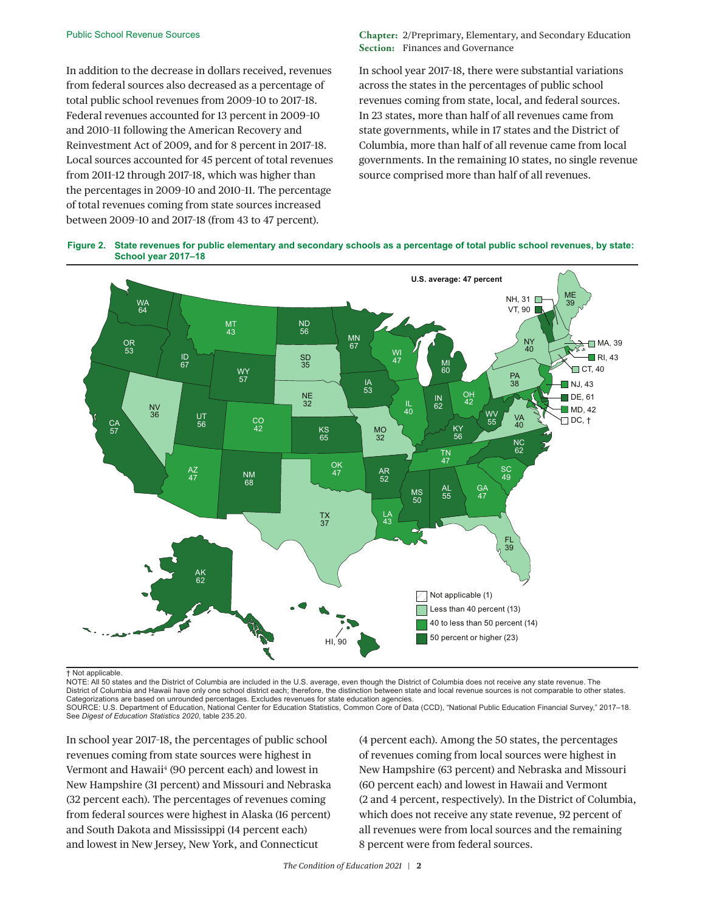In addition to the decrease in dollars received, revenues from federal sources also decreased as a percentage of total public school revenues from 2009–10 to 2017–18. Federal revenues accounted for 13 percent in 2009–10 and 2010–11 following the American Recovery and Reinvestment Act of 2009, and for 8 percent in 2017–18. Local sources accounted for 45 percent of total revenues from 2011–12 through 2017–18, which was higher than the percentages in 2009–10 and 2010–11. The percentage of total revenues coming from state sources increased between 2009–10 and 2017–18 (from 43 to 47 percent).

**Chapter:** 2/Preprimary, Elementary, and Secondary Education **Section:** Finances and Governance

In school year 2017–18, there were substantial variations across the states in the percentages of public school revenues coming from state, local, and federal sources. In 23 states, more than half of all revenues came from state governments, while in 17 states and the District of Columbia, more than half of all revenue came from local governments. In the remaining 10 states, no single revenue source comprised more than half of all revenues.





† Not applicable.

NOTE: All 50 states and the District of Columbia are included in the U.S. average, even though the District of Columbia does not receive any state revenue. The District of Columbia and Hawaii have only one school district each; therefore, the distinction between state and local revenue sources is not comparable to other states. Categorizations are based on unrounded percentages. Excludes revenues for state education agencies. SOURCE: U.S. Department of Education, National Center for Education Statistics, Common Core of Data (CCD), "National Public Education Financial Survey," 2017–18. See *Digest of Education Statistics 2020*, table 235.20.

In school year 2017–18, the percentages of public school revenues coming from state sources were highest in Vermont and Hawaii<sup>[4](#page-2-3)</sup> (90 percent each) and lowest in New Hampshire (31 percent) and Missouri and Nebraska (32 percent each). The percentages of revenues coming from federal sources were highest in Alaska (16 percent) and South Dakota and Mississippi (14 percent each) and lowest in New Jersey, New York, and Connecticut

(4 percent each). Among the 50 states, the percentages of revenues coming from local sources were highest in New Hampshire (63 percent) and Nebraska and Missouri (60 percent each) and lowest in Hawaii and Vermont (2 and 4 percent, respectively). In the District of Columbia, which does not receive any state revenue, 92 percent of all revenues were from local sources and the remaining 8 percent were from federal sources.